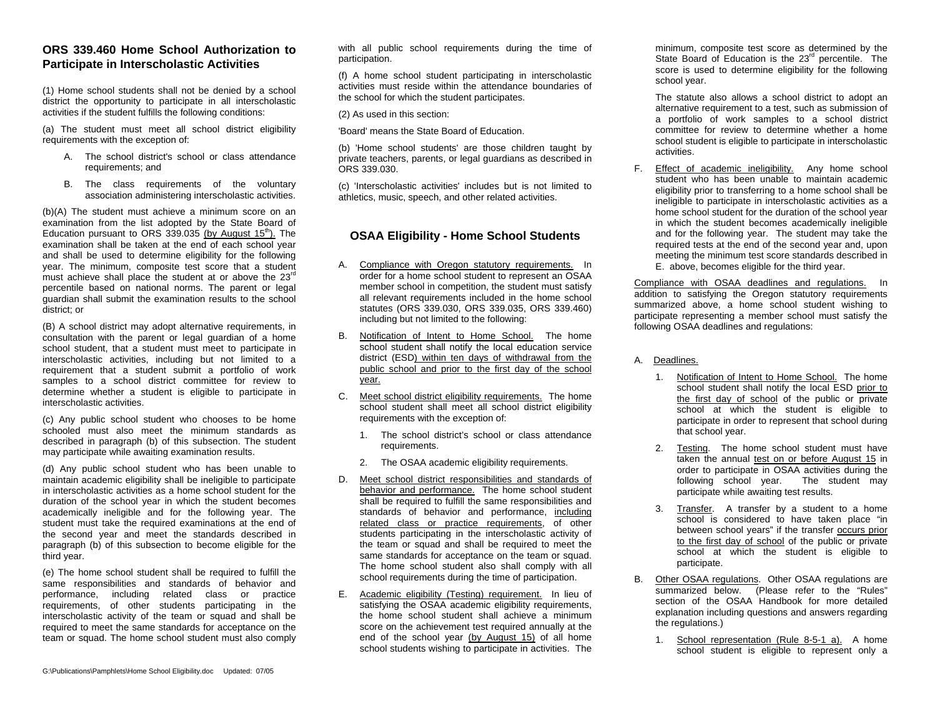### **ORS 339.460 Home School Authorization to Participate in Interscholastic Activities**

(1) Home school students shall not be denied by a school district the opportunity to participate in all interscholastic activities if the student fulfills the following conditions:

(a) The student must meet all school district eligibility requirements with the exception of:

- A. The school district's school or class attendance requirements; and
- B. The class requirements of the voluntary association administering interscholastic activities.

(b)(A) The student must achieve a minimum score on an examination from the list adopted by the State Board of Education pursuant to ORS 339.035 (by August 15<sup>th</sup>). The examination shall be taken at the end of each school year and shall be used to determine eligibility for the following year. The minimum, composite test score that a student must achieve shall place the student at or above the 23<sup>rd</sup> percentile based on national norms. The parent or legal guardian shall submit the examination results to the school district; or

(B) A school district may adopt alternative requirements, in consultation with the parent or legal guardian of a home school student, that a student must meet to participate in interscholastic activities, including but not limited to a requirement that a student submit a portfolio of work samples to a school district committee for review to determine whether a student is eligible to participate in interscholastic activities.

(c) Any public school student who chooses to be home schooled must also meet the minimum standards as described in paragraph (b) of this subsection. The student may participate while awaiting examination results.

(d) Any public school student who has been unable to maintain academic eligibility shall be ineligible to participate in interscholastic activities as a home school student for the duration of the school year in which the student becomes academically ineligible and for the following year. The student must take the required examinations at the end of the second year and meet the standards described in paragraph (b) of this subsection to become eligible for the third year.

(e) The home school student shall be required to fulfill the same responsibilities and standards of behavior and performance, including related class or practice requirements, of other students participating in the interscholastic activity of the team or squad and shall be required to meet the same standards for acceptance on the team or squad. The home school student must also comply with all public school requirements during the time of participation.

(f) A home school student participating in interscholastic activities must reside within the attendance boundaries of the school for which the student participates.

(2) As used in this section:

'Board' means the State Board of Education.

(b) 'Home school students' are those children taught by private teachers, parents, or legal guardians as described in ORS 339.030.

(c) 'Interscholastic activities' includes but is not limited to athletics, music, speech, and other related activities.

## **OSAA Eligibility - Home School Students**

- A. Compliance with Oregon statutory requirements. In order for a home school student to represent an OSAA member school in competition, the student must satisfy all relevant requirements included in the home school statutes (ORS 339.030, ORS 339.035, ORS 339.460) including but not limited to the following:
- B. Notification of Intent to Home School. The home school student shall notify the local education service district (ESD) within ten days of withdrawal from the public school and prior to the first day of the school year.
- C. Meet school district eligibility requirements. The home school student shall meet all school district eligibility requirements with the exception of:
	- 1. The school district's school or class attendance requirements.
	- 2. The OSAA academic eligibility requirements.
- D. Meet school district responsibilities and standards of behavior and performance. The home school student shall be required to fulfill the same responsibilities and standards of behavior and performance, including related class or practice requirements, of other students participating in the interscholastic activity of the team or squad and shall be required to meet the same standards for acceptance on the team or squad. The home school student also shall comply with all school requirements during the time of participation.
- E. Academic eligibility (Testing) requirement. In lieu of satisfying the OSAA academic eligibility requirements, the home school student shall achieve a minimum score on the achievement test required annually at the end of the school year (by August 15) of all home school students wishing to participate in activities. The

minimum, composite test score as determined by the State Board of Education is the 23<sup>rd</sup> percentile. The score is used to determine eligibility for the following school year.

The statute also allows a school district to adopt an alternative requirement to a test, such as submission of a portfolio of work samples to a school district committee for review to determine whether a home school student is eligible to participate in interscholastic activities.

F. Effect of academic ineligibility. Any home school student who has been unable to maintain academic eligibility prior to transferring to a home school shall be ineligible to participate in interscholastic activities as a home school student for the duration of the school year in which the student becomes academically ineligible and for the following year. The student may take the required tests at the end of the second year and, upon meeting the minimum test score standards described in E. above, becomes eligible for the third year.

Compliance with OSAA deadlines and regulations. In addition to satisfying the Oregon statutory requirements summarized above, a home school student wishing to participate representing a member school must satisfy the following OSAA deadlines and regulations:

#### A. <u>Deadlines.</u>

- 1. Notification of Intent to Home School. The home school student shall notify the local ESD prior to the first day of school of the public or private school at which the student is eligible to participate in order to represent that school during that school year.
- 2. Testing. The home school student must have taken the annual test on or before August 15 in order to participate in OSAA activities during the following school year. The student may participate while awaiting test results.
- 3. Transfer. A transfer by a student to a home school is considered to have taken place "in between school years" if the transfer occurs prior to the first day of school of the public or private school at which the student is eligible to participate.
- B. Other OSAA regulations. Other OSAA regulations are summarized below. (Please refer to the "Rules" section of the OSAA Handbook for more detailed explanation including questions and answers regarding the regulations.)
	- 1. School representation (Rule 8-5-1 a). A home school student is eligible to represent only a